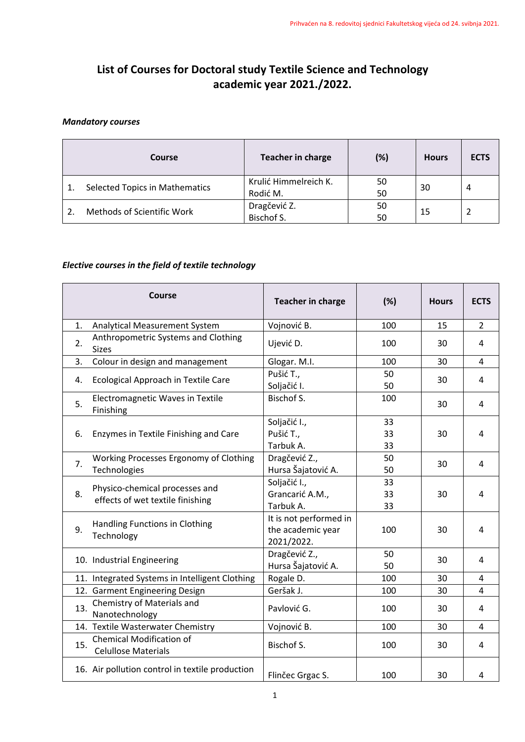## **List of Courses for Doctoral study Textile Science and Technology academic year 2021./2022.**

## *Mandatory courses*

|  | Course                                | <b>Teacher in charge</b> | (%)        | <b>Hours</b> | <b>ECTS</b> |
|--|---------------------------------------|--------------------------|------------|--------------|-------------|
|  | <b>Selected Topics in Mathematics</b> | Krulić Himmelreich K.    | 50         | 30           | 4           |
|  |                                       | Rodić M.                 | 50         |              |             |
|  | Methods of Scientific Work            | Dragčević Z.             | 50         | 15           |             |
|  |                                       |                          | Bischof S. | 50           |             |

## *Elective courses in the field of textile technology*

|                | Course                                                             | <b>Teacher in charge</b>                                  | (%)            | <b>Hours</b> | <b>ECTS</b>    |
|----------------|--------------------------------------------------------------------|-----------------------------------------------------------|----------------|--------------|----------------|
| $\mathbf{1}$ . | Analytical Measurement System                                      | Vojnović B.                                               | 100            | 15           | $\overline{2}$ |
| 2.             | Anthropometric Systems and Clothing<br><b>Sizes</b>                | Ujević D.                                                 | 100            | 30           | 4              |
| 3.             | Colour in design and management                                    | Glogar. M.I.                                              | 100            | 30           | 4              |
| 4.             | Ecological Approach in Textile Care                                | Pušić T.,<br>Soljačić I.                                  | 50<br>50       | 30           | 4              |
| 5.             | Electromagnetic Waves in Textile<br>Finishing                      | Bischof S.                                                | 100            | 30           | 4              |
| 6.             | Enzymes in Textile Finishing and Care                              | Soljačić I.,<br>Pušić T.,<br>Tarbuk A.                    | 33<br>33<br>33 | 30           | 4              |
| 7.             | Working Processes Ergonomy of Clothing<br>Technologies             | Dragčević Z.,<br>Hursa Šajatović A.                       | 50<br>50       | 30           | 4              |
| 8.             | Physico-chemical processes and<br>effects of wet textile finishing | Soljačić I.,<br>Grancarić A.M.,<br>Tarbuk A.              | 33<br>33<br>33 | 30           | 4              |
| 9.             | Handling Functions in Clothing<br>Technology                       | It is not performed in<br>the academic year<br>2021/2022. | 100            | 30           | 4              |
|                | 10. Industrial Engineering                                         | Dragčević Z.,<br>Hursa Šajatović A.                       | 50<br>50       | 30           | 4              |
|                | 11. Integrated Systems in Intelligent Clothing                     | Rogale D.                                                 | 100            | 30           | 4              |
|                | 12. Garment Engineering Design                                     | Geršak J.                                                 | 100            | 30           | 4              |
| 13.            | Chemistry of Materials and<br>Nanotechnology                       | Pavlović G.                                               | 100            | 30           | 4              |
|                | 14. Textile Wasterwater Chemistry                                  | Vojnović B.                                               | 100            | 30           | 4              |
| 15.            | <b>Chemical Modification of</b><br><b>Celullose Materials</b>      | Bischof S.                                                | 100            | 30           | 4              |
|                | 16. Air pollution control in textile production                    | Flinčec Grgac S.                                          | 100            | 30           | 4              |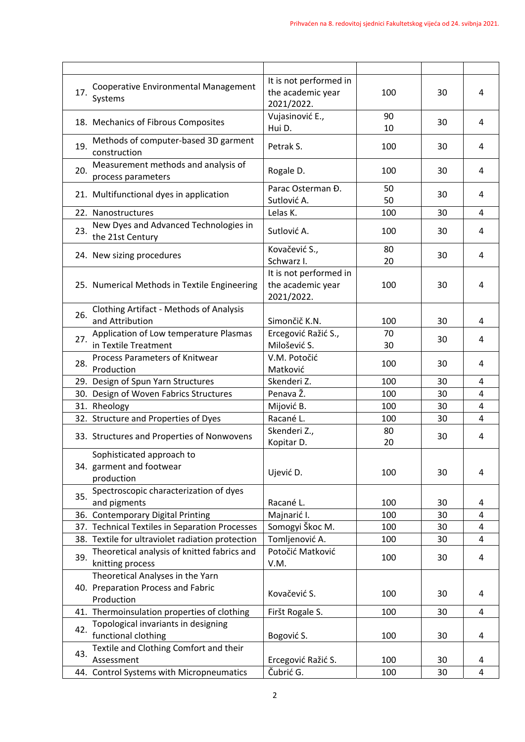|     | Cooperative Environmental Management                                                 | It is not performed in                                    |          |    |                |
|-----|--------------------------------------------------------------------------------------|-----------------------------------------------------------|----------|----|----------------|
| 17. | Systems                                                                              | the academic year<br>2021/2022.                           | 100      | 30 | 4              |
|     | 18. Mechanics of Fibrous Composites                                                  | Vujasinović E.,<br>Hui D.                                 | 90<br>10 | 30 | 4              |
| 19. | Methods of computer-based 3D garment<br>construction                                 | Petrak S.                                                 | 100      | 30 | 4              |
| 20. | Measurement methods and analysis of<br>process parameters                            | Rogale D.                                                 | 100      | 30 | 4              |
|     | 21. Multifunctional dyes in application                                              | Parac Osterman Đ.<br>Sutlović A.                          | 50<br>50 | 30 | 4              |
|     | 22. Nanostructures                                                                   | Lelas K.                                                  | 100      | 30 | 4              |
| 23. | New Dyes and Advanced Technologies in<br>the 21st Century                            | Sutlović A.                                               | 100      | 30 | 4              |
|     | 24. New sizing procedures                                                            | Kovačević S.,<br>Schwarz I.                               | 80<br>20 | 30 | 4              |
|     | 25. Numerical Methods in Textile Engineering                                         | It is not performed in<br>the academic year<br>2021/2022. | 100      | 30 | $\overline{4}$ |
| 26. | <b>Clothing Artifact - Methods of Analysis</b><br>and Attribution                    | Simončič K.N.                                             | 100      | 30 | 4              |
| 27. | Application of Low temperature Plasmas<br>in Textile Treatment                       | Ercegović Ražić S.,<br>Milošević S.                       | 70<br>30 | 30 | 4              |
| 28. | Process Parameters of Knitwear<br>Production                                         | V.M. Potočić<br>Matković                                  | 100      | 30 | 4              |
|     | 29. Design of Spun Yarn Structures                                                   | Skenderi Z.                                               | 100      | 30 | 4              |
|     | 30. Design of Woven Fabrics Structures                                               | Penava Ž.                                                 | 100      | 30 | 4              |
|     | 31. Rheology                                                                         | Mijović B.                                                | 100      | 30 | 4              |
|     | 32. Structure and Properties of Dyes                                                 | Racané L.                                                 | 100      | 30 | $\overline{4}$ |
|     | 33. Structures and Properties of Nonwovens                                           | Skenderi Z.,<br>Kopitar D.                                | 80<br>20 | 30 | 4              |
|     | Sophisticated approach to<br>34. garment and footwear<br>production                  | Ujević D.                                                 | 100      | 30 | 4              |
| 35. | Spectroscopic characterization of dyes<br>and pigments                               | Racané L.                                                 | 100      | 30 | 4              |
|     | 36. Contemporary Digital Printing                                                    | Majnarić I.                                               | 100      | 30 | 4              |
|     | 37. Technical Textiles in Separation Processes                                       | Somogyi Škoc M.                                           | 100      | 30 | $\overline{4}$ |
|     | 38. Textile for ultraviolet radiation protection                                     | Tomljenović A.                                            | 100      | 30 | $\overline{4}$ |
| 39. | Theoretical analysis of knitted fabrics and<br>knitting process                      | Potočić Matković<br>V.M.                                  | 100      | 30 | 4              |
|     | Theoretical Analyses in the Yarn<br>40. Preparation Process and Fabric<br>Production | Kovačević S.                                              | 100      | 30 | 4              |
|     | 41. Thermoinsulation properties of clothing                                          | Firšt Rogale S.                                           | 100      | 30 | 4              |
| 42. | Topological invariants in designing<br>functional clothing                           | Bogović S.                                                | 100      | 30 | 4              |
| 43. | Textile and Clothing Comfort and their<br>Assessment                                 | Ercegović Ražić S.                                        | 100      | 30 | 4              |
|     | 44. Control Systems with Micropneumatics                                             | Čubrić G.                                                 | 100      | 30 | $\overline{4}$ |